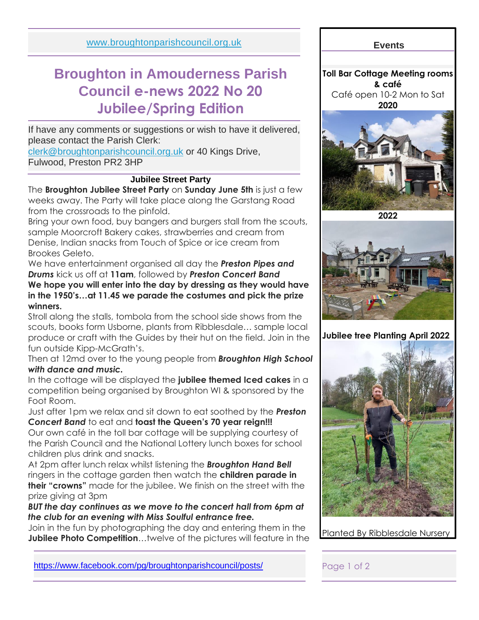[www.broughtonparishcouncil.org.uk](http://www.broughtonparishcouncil.org.uk/)

# **Broughton in Amouderness Parish Council e-news 2022 No 20 Jubilee/Spring Edition**

If have any comments or suggestions or wish to have it delivered, please contact the Parish Clerk:

[clerk@broughtonparishcouncil.org.uk](mailto:clerk@broughtonparishcouncil.org.uk) or 40 Kings Drive, Fulwood, Preston PR2 3HP

## **Jubilee Street Party**

The **Broughton Jubilee Street Party** on **Sunday June 5th** is just a few weeks away. The Party will take place along the Garstang Road from the crossroads to the pinfold.

Bring your own food, buy bangers and burgers stall from the scouts, sample Moorcroft Bakery cakes, strawberries and cream from Denise, Indian snacks from Touch of Spice or ice cream from Brookes Geleto.

We have entertainment organised all day the *Preston Pipes and Drums* kick us off at **11am**, followed by *Preston Concert Band* **We hope you will enter into the day by dressing as they would have in the 1950's…at 11.45 we parade the costumes and pick the prize winners.**

Stroll along the stalls, tombola from the school side shows from the scouts, books form Usborne, plants from Ribblesdale… sample local produce or craft with the Guides by their hut on the field. Join in the fun outside Kipp-McGrath's.

Then at 12md over to the young people from *Broughton High School with dance and music.*

In the cottage will be displayed the **jubilee themed Iced cakes** in a competition being organised by Broughton WI & sponsored by the Foot Room.

Just after 1pm we relax and sit down to eat soothed by the *Preston Concert Band* to eat and **toast the Queen's 70 year reign!!!**

Our own café in the toll bar cottage will be supplying courtesy of the Parish Council and the National Lottery lunch boxes for school children plus drink and snacks.

At 2pm after lunch relax whilst listening the *Broughton Hand Bell* ringers in the cottage garden then watch the **children parade in their "crowns"** made for the jubilee. We finish on the street with the prize giving at 3pm

*BUT the day continues as we move to the concert hall from 6pm at the club for an evening with Miss Soulful entrance free.*

Join in the fun by photographing the day and entering them in the **Jubilee Photo Competition**…twelve of the pictures will feature in the **Events**

**Toll Bar Cottage Meeting rooms & café** Café open 10-2 Mon to Sat **2020**



**2022**



**Jubilee tree Planting April 2022** 



Planted By Ribblesdale Nursery

<https://www.facebook.com/pg/broughtonparishcouncil/posts/>Page 1 of 2